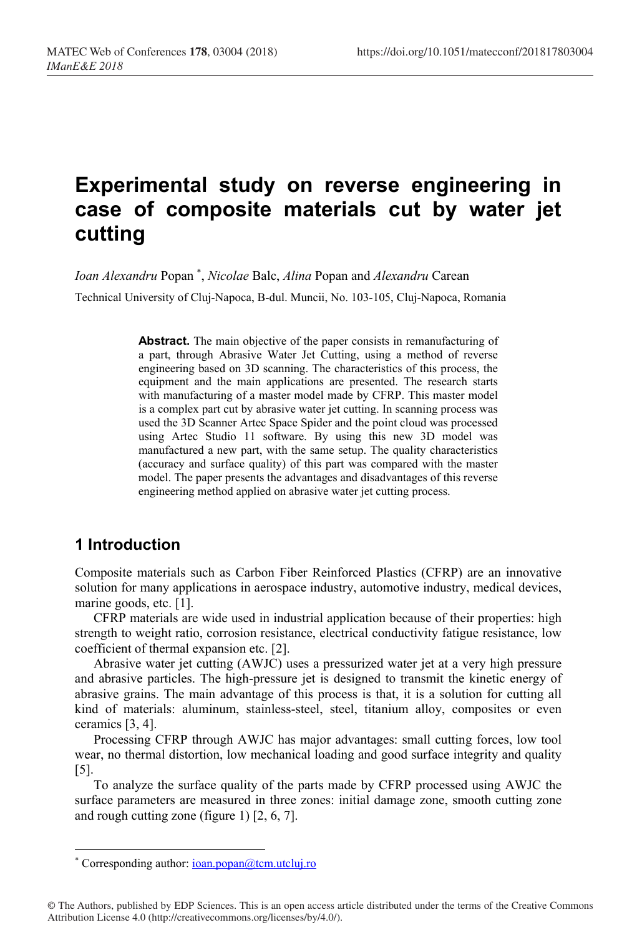# **Experimental study on reverse engineering in case of composite materials cut by water jet cutting**

*Ioan Alexandru* Popan \* , *Nicolae* Balc, *Alina* Popan and *Alexandru* Carean

Technical University of Cluj-Napoca, B-dul. Muncii, No. 103-105, Cluj-Napoca, Romania

**Abstract.** The main objective of the paper consists in remanufacturing of a part, through Abrasive Water Jet Cutting, using a method of reverse engineering based on 3D scanning. The characteristics of this process, the equipment and the main applications are presented. The research starts with manufacturing of a master model made by CFRP. This master model is a complex part cut by abrasive water jet cutting. In scanning process was used the 3D Scanner Artec Space Spider and the point cloud was processed using Artec Studio 11 software. By using this new 3D model was manufactured a new part, with the same setup. The quality characteristics (accuracy and surface quality) of this part was compared with the master model. The paper presents the advantages and disadvantages of this reverse engineering method applied on abrasive water jet cutting process.

# **1 Introduction**

 $\overline{a}$ 

Composite materials such as Carbon Fiber Reinforced Plastics (CFRP) are an innovative solution for many applications in aerospace industry, automotive industry, medical devices, marine goods, etc. [1].

CFRP materials are wide used in industrial application because of their properties: high strength to weight ratio, corrosion resistance, electrical conductivity fatigue resistance, low coefficient of thermal expansion etc. [2].

Abrasive water jet cutting (AWJC) uses a pressurized water jet at a very high pressure and abrasive particles. The high-pressure jet is designed to transmit the kinetic energy of abrasive grains. The main advantage of this process is that, it is a solution for cutting all kind of materials: aluminum, stainless-steel, steel, titanium alloy, composites or even ceramics [3, 4].

Processing CFRP through AWJC has major advantages: small cutting forces, low tool wear, no thermal distortion, low mechanical loading and good surface integrity and quality [5].

To analyze the surface quality of the parts made by CFRP processed using AWJC the surface parameters are measured in three zones: initial damage zone, smooth cutting zone and rough cutting zone (figure 1) [2, 6, 7].

© The Authors, published by EDP Sciences. This is an open access article distributed under the terms of the Creative Commons Attribution License 4.0 (http://creativecommons.org/licenses/by/4.0/).

<sup>\*</sup> Corresponding author: ioan.popan@tcm.utcluj.ro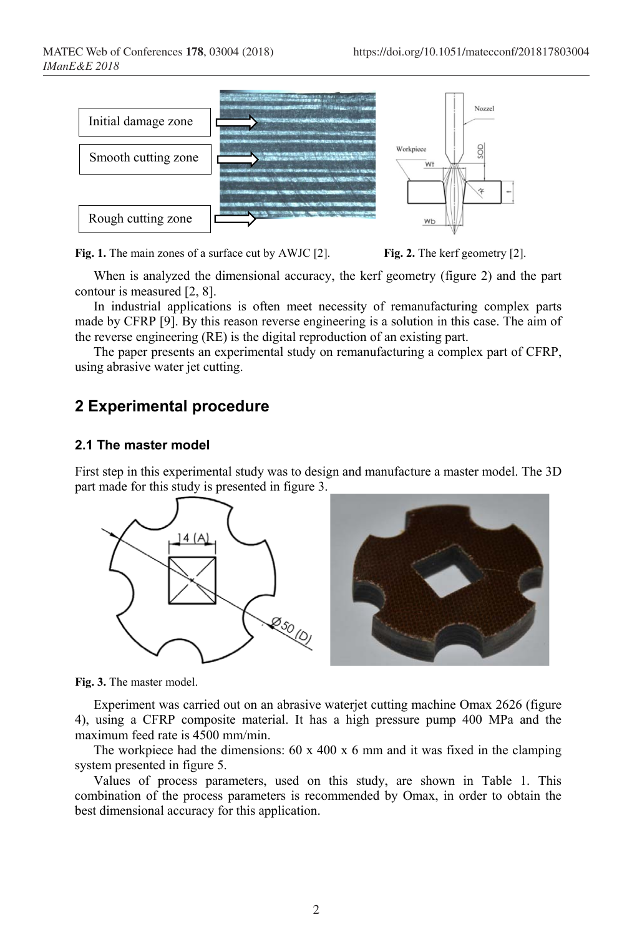

**Fig. 1.** The main zones of a surface cut by AWJC [2]. **Fig. 2.** The kerf geometry [2].

When is analyzed the dimensional accuracy, the kerf geometry (figure 2) and the part contour is measured [2, 8].

In industrial applications is often meet necessity of remanufacturing complex parts made by CFRP [9]. By this reason reverse engineering is a solution in this case. The aim of the reverse engineering (RE) is the digital reproduction of an existing part.

The paper presents an experimental study on remanufacturing a complex part of CFRP, using abrasive water jet cutting.

## **2 Experimental procedure**

#### **2.1 The master model**

First step in this experimental study was to design and manufacture a master model. The 3D part made for this study is presented in figure 3.



**Fig. 3.** The master model.

Experiment was carried out on an abrasive waterjet cutting machine Omax 2626 (figure 4), using a CFRP composite material. It has a high pressure pump 400 MPa and the maximum feed rate is 4500 mm/min.

The workpiece had the dimensions:  $60 \times 400 \times 6$  mm and it was fixed in the clamping system presented in figure 5.

Values of process parameters, used on this study, are shown in Table 1. This combination of the process parameters is recommended by Omax, in order to obtain the best dimensional accuracy for this application.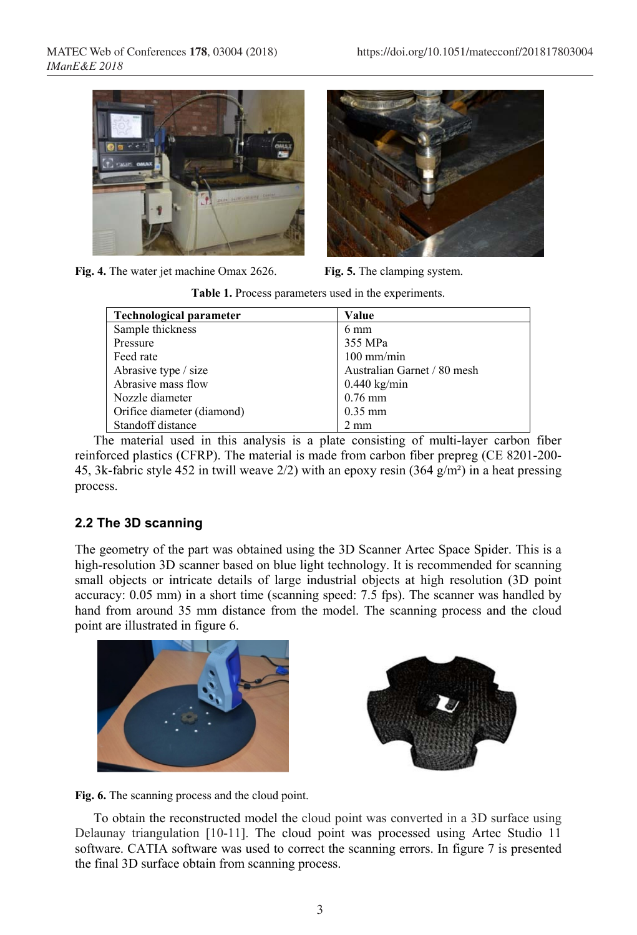

Fig. 4. The water jet machine Omax 2626. **Fig. 5.** The clamping system.



**Table 1.** Process parameters used in the experiments.

| <b>Technological parameter</b> | Value                       |
|--------------------------------|-----------------------------|
| Sample thickness               | $6 \text{ mm}$              |
| Pressure                       | 355 MPa                     |
| Feed rate                      | $100$ mm/min                |
| Abrasive type / size           | Australian Garnet / 80 mesh |
| Abrasive mass flow             | $0.440$ kg/min              |
| Nozzle diameter                | $0.76$ mm                   |
| Orifice diameter (diamond)     | $0.35$ mm                   |
| Standoff distance              | $2 \text{ mm}$              |

The material used in this analysis is a plate consisting of multi-layer carbon fiber reinforced plastics (CFRP). The material is made from carbon fiber prepreg (CE 8201-200- 45, 3k-fabric style 452 in twill weave  $2/2$ ) with an epoxy resin (364 g/m<sup>2</sup>) in a heat pressing process.

#### **2.2 The 3D scanning**

The geometry of the part was obtained using the 3D Scanner Artec Space Spider. This is a high-resolution 3D scanner based on blue light technology. It is recommended for scanning small objects or intricate details of large industrial objects at high resolution (3D point accuracy: 0.05 mm) in a short time (scanning speed: 7.5 fps). The scanner was handled by hand from around 35 mm distance from the model. The scanning process and the cloud point are illustrated in figure 6.





**Fig. 6.** The scanning process and the cloud point.

To obtain the reconstructed model the cloud point was converted in a 3D surface using Delaunay triangulation [10-11]. The cloud point was processed using Artec Studio 11 software. CATIA software was used to correct the scanning errors. In figure 7 is presented the final 3D surface obtain from scanning process.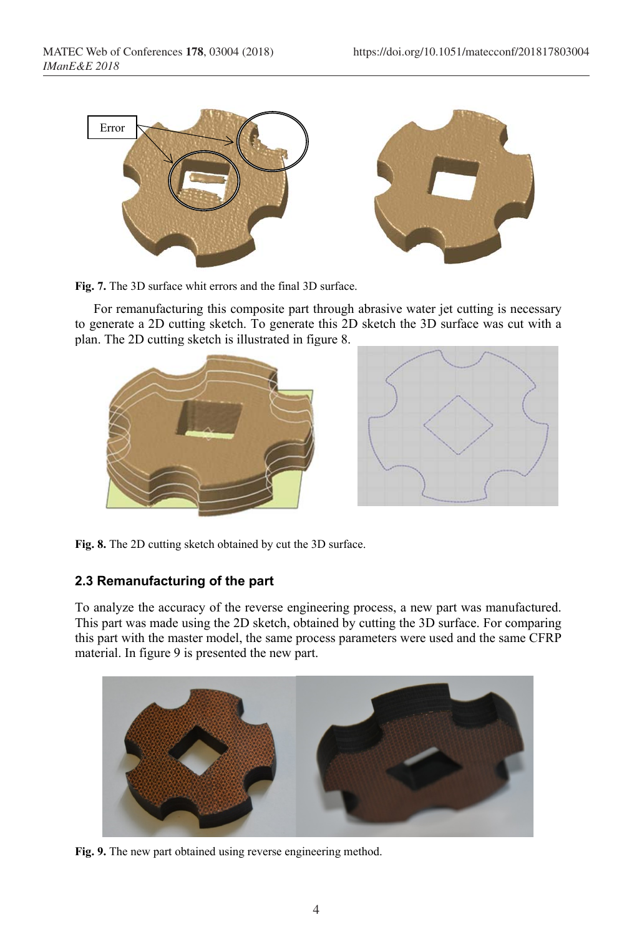

**Fig. 7.** The 3D surface whit errors and the final 3D surface.

For remanufacturing this composite part through abrasive water jet cutting is necessary to generate a 2D cutting sketch. To generate this 2D sketch the 3D surface was cut with a plan. The 2D cutting sketch is illustrated in figure 8.



**Fig. 8.** The 2D cutting sketch obtained by cut the 3D surface.

#### **2.3 Remanufacturing of the part**

To analyze the accuracy of the reverse engineering process, a new part was manufactured. This part was made using the 2D sketch, obtained by cutting the 3D surface. For comparing this part with the master model, the same process parameters were used and the same CFRP material. In figure 9 is presented the new part.



**Fig. 9.** The new part obtained using reverse engineering method.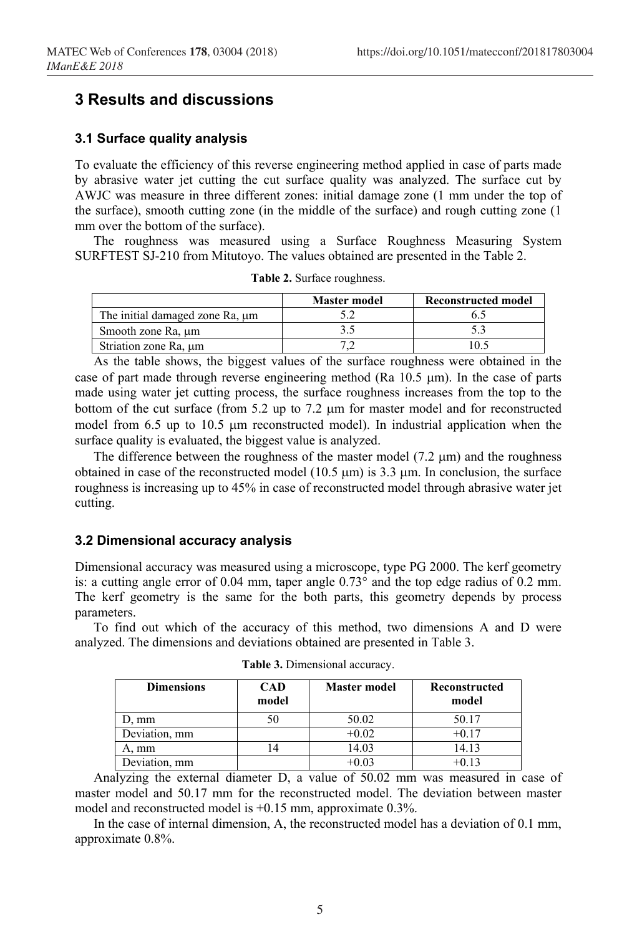## **3 Results and discussions**

#### **3.1 Surface quality analysis**

To evaluate the efficiency of this reverse engineering method applied in case of parts made by abrasive water jet cutting the cut surface quality was analyzed. The surface cut by AWJC was measure in three different zones: initial damage zone (1 mm under the top of the surface), smooth cutting zone (in the middle of the surface) and rough cutting zone (1 mm over the bottom of the surface).

The roughness was measured using a Surface Roughness Measuring System SURFTEST SJ-210 from Mitutoyo. The values obtained are presented in the Table 2.

|                                 | <b>Master model</b> | Reconstructed model |
|---------------------------------|---------------------|---------------------|
| The initial damaged zone Ra, um |                     |                     |
| Smooth zone Ra, um              |                     |                     |
| Striation zone Ra, μm           |                     |                     |

**Table 2.** Surface roughness.

As the table shows, the biggest values of the surface roughness were obtained in the case of part made through reverse engineering method (Ra  $10.5 \mu m$ ). In the case of parts made using water jet cutting process, the surface roughness increases from the top to the bottom of the cut surface (from 5.2 up to 7.2 µm for master model and for reconstructed model from 6.5 up to 10.5 µm reconstructed model). In industrial application when the surface quality is evaluated, the biggest value is analyzed.

The difference between the roughness of the master model  $(7.2 \mu m)$  and the roughness obtained in case of the reconstructed model (10.5  $\mu$ m) is 3.3  $\mu$ m. In conclusion, the surface roughness is increasing up to 45% in case of reconstructed model through abrasive water jet cutting.

#### **3.2 Dimensional accuracy analysis**

Dimensional accuracy was measured using a microscope, type PG 2000. The kerf geometry is: a cutting angle error of 0.04 mm, taper angle 0.73° and the top edge radius of 0.2 mm. The kerf geometry is the same for the both parts, this geometry depends by process parameters.

To find out which of the accuracy of this method, two dimensions A and D were analyzed. The dimensions and deviations obtained are presented in Table 3.

| <b>Dimensions</b> | <b>CAD</b><br>model | <b>Master model</b> | Reconstructed<br>model |
|-------------------|---------------------|---------------------|------------------------|
| ). mm             |                     | 50.02               | 50.17                  |
| Deviation, mm     |                     | $+0.02$             | $+0.17$                |
| A. mm             |                     | 14.03               | 14.13                  |
| Deviation, mm     |                     |                     | $+0.13$                |

**Table 3.** Dimensional accuracy.

Analyzing the external diameter D, a value of 50.02 mm was measured in case of master model and 50.17 mm for the reconstructed model. The deviation between master model and reconstructed model is +0.15 mm, approximate 0.3%.

In the case of internal dimension, A, the reconstructed model has a deviation of 0.1 mm, approximate 0.8%.